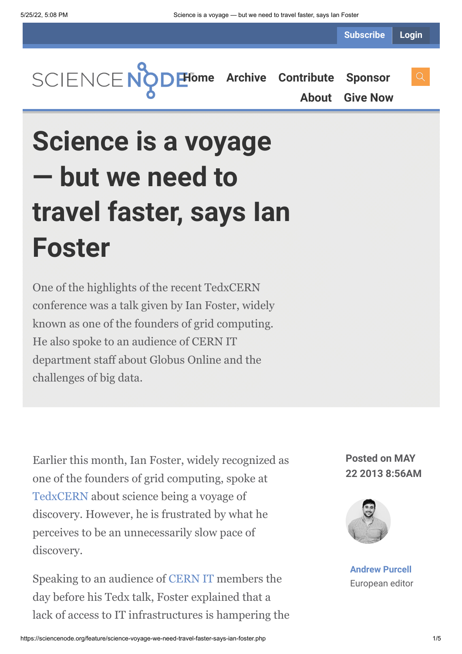**Subscribe Login**

**[Home](https://sciencenode.org/) [Archive](https://sciencenode.org/archive/index.php) [Contribute](https://sciencenode.org/contribute/index.php) [Sponsor](https://sciencenode.org/sponsor/index.php) [About](https://sciencenode.org/about/index.php) [Give Now](https://sciencenode.org/donate/index.php)**

# **Science is a voyage — but we need to travel faster, says Ian Foster**

One of the highlights of the recent TedxCERN conference was a talk given by Ian Foster, widely known as one of the founders of grid computing. He also spoke to an audience of CERN IT department staff about Globus Online and the challenges of big data.

Earlier this month, Ian Foster, widely recognized as one of the founders of grid computing, spoke at [TedxCERN](http://tedxcern.web.cern.ch/) about science being a voyage of discovery. However, he is frustrated by what he perceives to be an unnecessarily slow pace of discovery.

Speaking to an audience of [CERN IT](http://information-technology.web.cern.ch/) members the day before his Tedx talk, Foster explained that a lack of access to IT infrastructures is hampering the

**Posted on MAY 22 2013 8:56AM**



**[Andrew Purcell](https://sciencenode.org/author/andrew-purcell.php)** European editor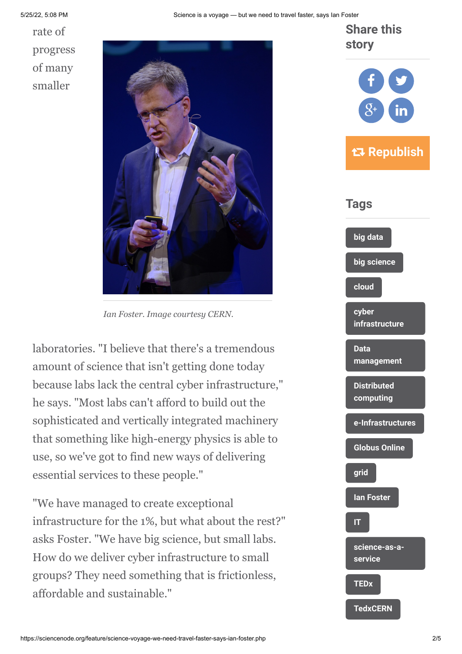rate of progress of many smaller



*Ian Foster. Image courtesy CERN.*

laboratories. "I believe that there's a tremendous amount of science that isn't getting done today because labs lack the central cyber infrastructure," he says. "Most labs can't afford to build out the sophisticated and vertically integrated machinery that something like high-energy physics is able to use, so we've got to find new ways of delivering essential services to these people."

"We have managed to create exceptional infrastructure for the 1%, but what about the rest?" asks Foster. "We have big science, but small labs. How do we deliver cyber infrastructure to small groups? They need something that is frictionless, affordable and sustainable."

**[big data](https://sciencenode.org/tag/?tag=big%20data) [big science](https://sciencenode.org/tag/?tag=big%20science) [cloud](https://sciencenode.org/tag/?tag=cloud) cyber [infrastructure](https://sciencenode.org/tag/?tag=cyber%20infrastructure) Data [management](https://sciencenode.org/tag/?tag=Data%20management) [Distributed](https://sciencenode.org/tag/?tag=Distributed%20computing) computing [e-Infrastructures](https://sciencenode.org/tag/?tag=e-Infrastructures) [Globus Online](https://sciencenode.org/tag/?tag=Globus%20Online) [grid](https://sciencenode.org/tag/?tag=grid) [Ian Foster](https://sciencenode.org/tag/?tag=Ian%20Foster) [IT](https://sciencenode.org/tag/?tag=IT) [science-as-a](https://sciencenode.org/tag/?tag=science-as-a-service)service [TEDx](https://sciencenode.org/tag/?tag=TEDx) [TedxCERN](https://sciencenode.org/tag/?tag=TedxCERN) story** f **Y** s  $8^{\circ}$  ) in  **Republish Tags**

**Share this**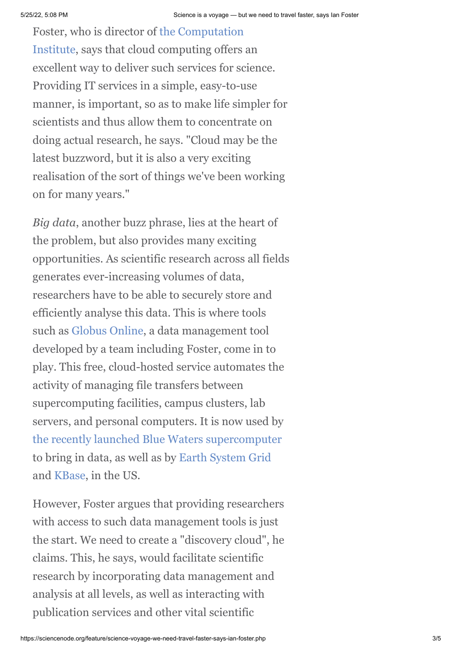[Foster, who is director of the Computation](http://www.ci.anl.gov/) Institute, says that cloud computing offers an excellent way to deliver such services for science. Providing IT services in a simple, easy-to-use manner, is important, so as to make life simpler for scientists and thus allow them to concentrate on doing actual research, he says. "Cloud may be the latest buzzword, but it is also a very exciting realisation of the sort of things we've been working on for many years."

*Big data*, another buzz phrase, lies at the heart of the problem, but also provides many exciting opportunities. As scientific research across all fields generates ever-increasing volumes of data, researchers have to be able to securely store and efficiently analyse this data. This is where tools such as [Globus Online,](https://www.globusonline.org/) a data management tool developed by a team including Foster, come in to play. This free, cloud-hosted service automates the activity of managing file transfers between supercomputing facilities, campus clusters, lab servers, and personal computers. It is now used by [the recently launched Blue Waters supercomputer](http://www.isgtw.org/feature/blue-waters-enables-groundbreaking-computational-science) to bring in data, as well as by [Earth System Grid](http://www.earthsystemgrid.org/home.htm) and [KBase](http://kbase.science.energy.gov/), in the US.

However, Foster argues that providing researchers with access to such data management tools is just the start. We need to create a "discovery cloud", he claims. This, he says, would facilitate scientific research by incorporating data management and analysis at all levels, as well as interacting with publication services and other vital scientific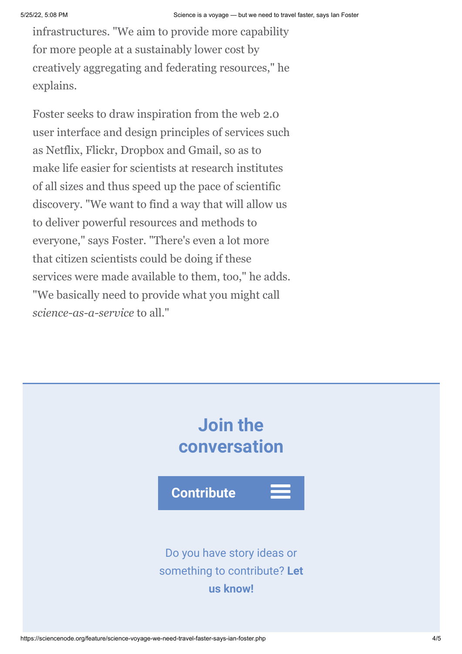infrastructures. "We aim to provide more capability for more people at a sustainably lower cost by creatively aggregating and federating resources," he explains.

Foster seeks to draw inspiration from the web 2.0 user interface and design principles of services such as Netflix, Flickr, Dropbox and Gmail, so as to make life easier for scientists at research institutes of all sizes and thus speed up the pace of scientific discovery. "We want to find a way that will allow us to deliver powerful resources and methods to everyone," says Foster. "There's even a lot more that citizen scientists could be doing if these services were made available to them, too," he adds. "We basically need to provide what you might call *science-as-a-service* to all."